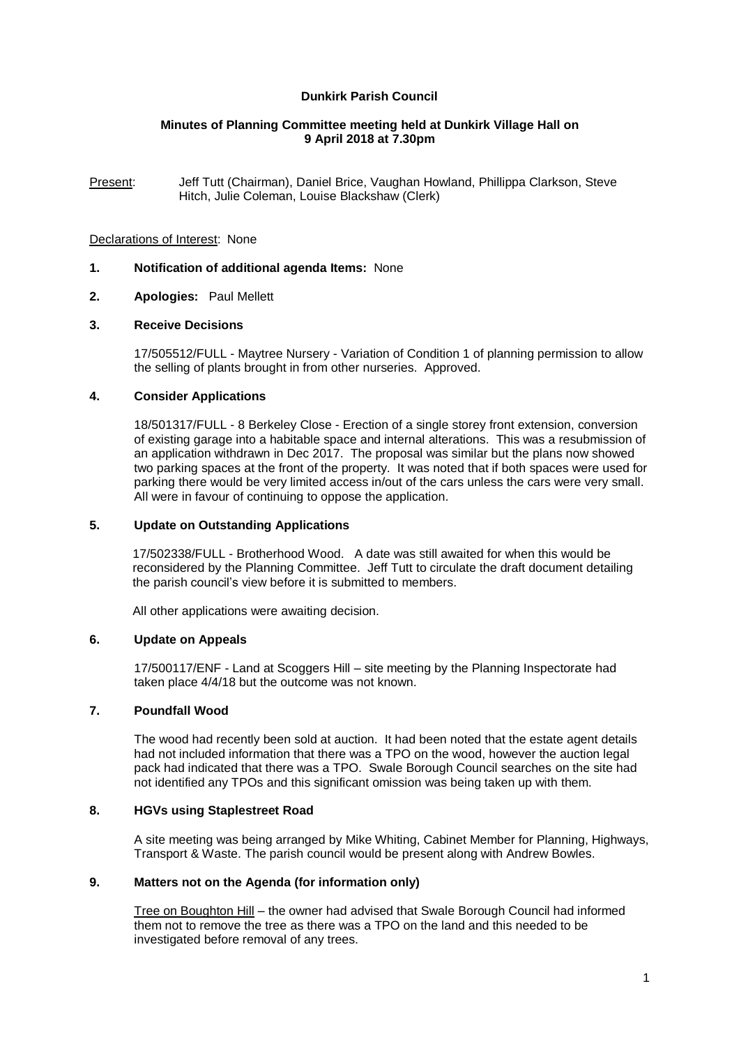# **Dunkirk Parish Council**

## **Minutes of Planning Committee meeting held at Dunkirk Village Hall on 9 April 2018 at 7.30pm**

Present: Jeff Tutt (Chairman), Daniel Brice, Vaughan Howland, Phillippa Clarkson, Steve Hitch, Julie Coleman, Louise Blackshaw (Clerk)

### Declarations of Interest: None

# **1. Notification of additional agenda Items:** None

### **2. Apologies:** Paul Mellett

### **3. Receive Decisions**

17/505512/FULL - Maytree Nursery - Variation of Condition 1 of planning permission to allow the selling of plants brought in from other nurseries. Approved.

## **4. Consider Applications**

18/501317/FULL - 8 Berkeley Close - Erection of a single storey front extension, conversion of existing garage into a habitable space and internal alterations. This was a resubmission of an application withdrawn in Dec 2017. The proposal was similar but the plans now showed two parking spaces at the front of the property. It was noted that if both spaces were used for parking there would be very limited access in/out of the cars unless the cars were very small. All were in favour of continuing to oppose the application.

## **5. Update on Outstanding Applications**

17/502338/FULL - Brotherhood Wood. A date was still awaited for when this would be reconsidered by the Planning Committee. Jeff Tutt to circulate the draft document detailing the parish council's view before it is submitted to members.

All other applications were awaiting decision.

### **6. Update on Appeals**

17/500117/ENF - Land at Scoggers Hill – site meeting by the Planning Inspectorate had taken place 4/4/18 but the outcome was not known.

### **7. Poundfall Wood**

The wood had recently been sold at auction. It had been noted that the estate agent details had not included information that there was a TPO on the wood, however the auction legal pack had indicated that there was a TPO. Swale Borough Council searches on the site had not identified any TPOs and this significant omission was being taken up with them.

# **8. HGVs using Staplestreet Road**

A site meeting was being arranged by Mike Whiting, Cabinet Member for Planning, Highways, Transport & Waste. The parish council would be present along with Andrew Bowles.

### **9. Matters not on the Agenda (for information only)**

Tree on Boughton Hill – the owner had advised that Swale Borough Council had informed them not to remove the tree as there was a TPO on the land and this needed to be investigated before removal of any trees.